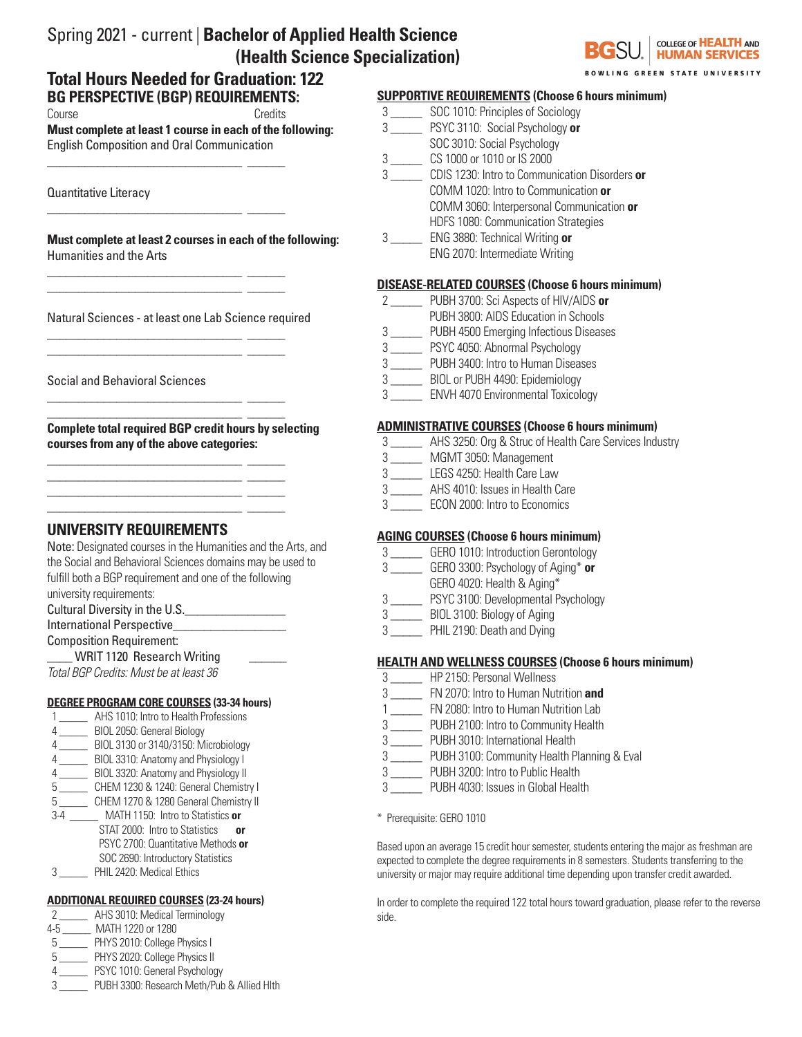# Spring 2021 - current | **Bachelor of Applied Health Science (Health Science Specialization)**

# **BG PERSPECTIVE (BGP) REQUIREMENTS:**  Course Credits **Total Hours Needed for Graduation: 122**

**Must complete at least 1 course in each of the following:**  English Composition and Oral Communication

\_\_\_\_\_\_\_\_\_\_\_\_\_\_\_\_\_\_\_\_\_\_\_\_\_\_\_\_\_\_\_ \_\_\_\_\_\_

\_\_\_\_\_\_\_\_\_\_\_\_\_\_\_\_\_\_\_\_\_\_\_\_\_\_\_\_\_\_\_ \_\_\_\_\_\_

\_\_\_\_\_\_\_\_\_\_\_\_\_\_\_\_\_\_\_\_\_\_\_\_\_\_\_\_\_\_\_ \_\_\_\_\_\_ \_\_\_\_\_\_\_\_\_\_\_\_\_\_\_\_\_\_\_\_\_\_\_\_\_\_\_\_\_\_\_ \_\_\_\_\_\_

\_\_\_\_\_\_\_\_\_\_\_\_\_\_\_\_\_\_\_\_\_\_\_\_\_\_\_\_\_\_\_ \_\_\_\_\_\_ \_\_\_\_\_\_\_\_\_\_\_\_\_\_\_\_\_\_\_\_\_\_\_\_\_\_\_\_\_\_\_ \_\_\_\_\_\_

\_\_\_\_\_\_\_\_\_\_\_\_\_\_\_\_\_\_\_\_\_\_\_\_\_\_\_\_\_\_\_ \_\_\_\_\_\_

\_\_\_\_\_\_\_\_\_\_\_\_\_\_\_\_\_\_\_\_\_\_\_\_\_\_\_\_\_\_\_ \_\_\_\_\_\_ \_\_\_\_\_\_\_\_\_\_\_\_\_\_\_\_\_\_\_\_\_\_\_\_\_\_\_\_\_\_\_ \_\_\_\_\_\_ \_\_\_\_\_\_\_\_\_\_\_\_\_\_\_\_\_\_\_\_\_\_\_\_\_\_\_\_\_\_\_ \_\_\_\_\_\_ \_\_\_\_\_\_\_\_\_\_\_\_\_\_\_\_\_\_\_\_\_\_\_\_\_\_\_\_\_\_\_ \_\_\_\_\_\_

Quantitative Literacy

**Must complete at least 2 courses in each of the following:** Humanities and the Arts

Natural Sciences - at least one Lab Science required

### Social and Behavioral Sciences

\_\_\_\_\_\_\_\_\_\_\_\_\_\_\_\_\_\_\_\_\_\_\_\_\_\_\_\_\_\_\_ \_\_\_\_\_\_ **Complete total required BGP credit hours by selecting courses from any of the above categories:**

# **UNIVERSITY REQUIREMENTS**

Note: Designated courses in the Humanities and the Arts, and the Social and Behavioral Sciences domains may be used to fulfill both a BGP requirement and one of the following university requirements:

Cultural Diversity in the U.S.\_\_\_\_\_\_\_\_\_\_\_\_\_\_\_\_

# International Perspective

Composition Requirement:

WRIT 1120 Research Writing *Total BGP Credits: Must be at least 36*

### **DEGREE PROGRAM CORE COURSES (33-34 hours)**

- 1 \_\_\_\_\_ AHS 1010: Intro to Health Professions
- 4 \_\_\_\_\_ BIOL 2050: General Biology
- 4 \_\_\_\_\_ BIOL 3130 or 3140/3150: Microbiology
- 4 \_\_\_\_\_ BIOL 3310: Anatomy and Physiology I
- BIOL 3320: Anatomy and Physiology II
- 5 \_\_\_\_\_ CHEM 1230 & 1240: General Chemistry I
- 5 CHEM 1270 & 1280 General Chemistry II 3-4 \_\_\_\_\_ MATH 1150: Intro to Statistics **or**
- STAT 2000: Intro to Statistics **or** PSYC 2700: Quantitative Methods **or** SOC 2690: Introductory Statistics
- 3 \_\_\_\_\_ PHIL 2420: Medical Ethics

### **ADDITIONAL REQUIRED COURSES (23-24 hours)**

2 \_\_\_\_\_ AHS 3010: Medical Terminology

- 4-5 \_\_\_\_\_ MATH 1220 or 1280
- 5 \_\_\_\_\_ PHYS 2010: College Physics I
- 5 \_\_\_\_\_ PHYS 2020: College Physics II
- 4 \_\_\_\_\_ PSYC 1010: General Psychology
- 3 \_\_\_\_\_ PUBH 3300: Research Meth/Pub & Allied Hlth

### COLLEGE OF **HEALTH** AND **HUMAN SERVICES**

**GREEN STATE UNIVERSITY** 

### **SUPPORTIVE REQUIREMENTS (Choose 6 hours minimum)**

- 3 \_\_\_\_\_ SOC 1010: Principles of Sociology
- 3 \_\_\_\_\_ PSYC 3110: Social Psychology **or**
- SOC 3010: Social Psychology
- 3 \_\_\_\_\_ CS 1000 or 1010 or IS 2000
- 3 \_\_\_\_\_ CDIS 1230: Intro to Communication Disorders **or**
- COMM 1020: Intro to Communication **or**
	- COMM 3060: Interpersonal Communication **or**
- HDFS 1080: Communication Strategies
- 3 \_\_\_\_\_ ENG 3880: Technical Writing **or** ENG 2070: Intermediate Writing

### **DISEASE-RELATED COURSES (Choose 6 hours minimum)**

- 2 \_\_\_\_\_ PUBH 3700: Sci Aspects of HIV/AIDS **or**
- PUBH 3800: AIDS Education in Schools
- 3 \_\_\_\_\_ PUBH 4500 Emerging Infectious Diseases
- 3 \_\_\_\_\_ PSYC 4050: Abnormal Psychology
- 3 \_\_\_\_\_ PUBH 3400: Intro to Human Diseases
- 3 \_\_\_\_\_ BIOL or PUBH 4490: Epidemiology
- 3 \_\_\_\_\_ ENVH 4070 Environmental Toxicology

# **ADMINISTRATIVE COURSES (Choose 6 hours minimum)**

- 3 \_\_\_\_\_ AHS 3250: Org & Struc of Health Care Services Industry
- 3 \_\_\_\_\_ MGMT 3050: Management
- 3 \_\_\_\_\_ LEGS 4250: Health Care Law
- 3 \_\_\_\_\_ AHS 4010: Issues in Health Care
- 3 **ECON 2000: Intro to Economics**

### **AGING COURSES (Choose 6 hours minimum)**

- 3 \_\_\_\_\_ GERO 1010: Introduction Gerontology
- 3 \_\_\_\_\_ GERO 3300: Psychology of Aging\* **or**
- GERO 4020: Health & Aging\*
- 3 \_\_\_\_\_ PSYC 3100: Developmental Psychology
- 3 \_\_\_\_\_ BIOL 3100: Biology of Aging
- 3 \_\_\_\_\_ PHIL 2190: Death and Dying

### **HEALTH AND WELLNESS COURSES (Choose 6 hours minimum)**

- 3 \_\_\_\_\_ HP 2150: Personal Wellness
- 3 \_\_\_\_\_ FN 2070: Intro to Human Nutrition **and**
- 1 \_\_\_\_\_ FN 2080: Intro to Human Nutrition Lab
- 3 \_\_\_\_\_ PUBH 2100: Intro to Community Health
- 3 \_\_\_\_\_ PUBH 3010: International Health
- 3 \_\_\_\_\_ PUBH 3100: Community Health Planning & Eval
- 3 \_\_\_\_\_ PUBH 3200: Intro to Public Health
- 3 \_\_\_\_\_ PUBH 4030: Issues in Global Health
- \* Prerequisite: GERO 1010

Based upon an average 15 credit hour semester, students entering the major as freshman are expected to complete the degree requirements in 8 semesters. Students transferring to the university or major may require additional time depending upon transfer credit awarded.

In order to complete the required 122 total hours toward graduation, please refer to the reverse side.